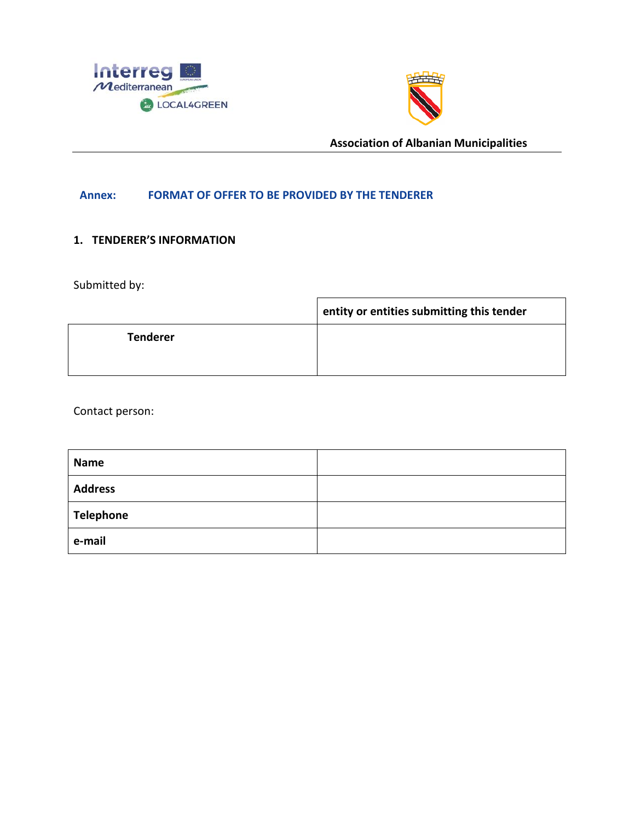



## **Annex: FORMAT OF OFFER TO BE PROVIDED BY THE TENDERER**

# **1. TENDERER'S INFORMATION**

Submitted by:

|                 | entity or entities submitting this tender |
|-----------------|-------------------------------------------|
| <b>Tenderer</b> |                                           |
|                 |                                           |

Contact person:

| <b>Name</b>      |  |
|------------------|--|
| <b>Address</b>   |  |
| <b>Telephone</b> |  |
| e-mail           |  |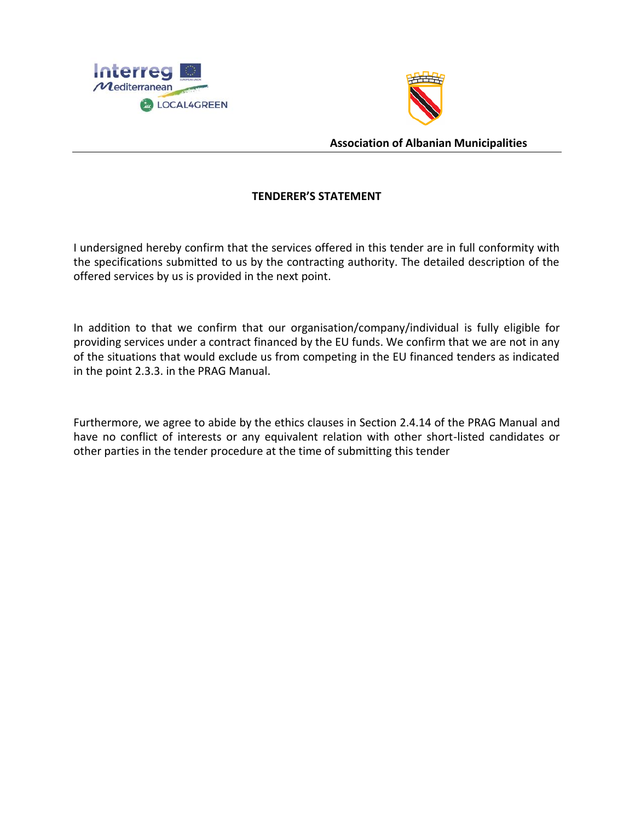



# **TENDERER'S STATEMENT**

I undersigned hereby confirm that the services offered in this tender are in full conformity with the specifications submitted to us by the contracting authority. The detailed description of the offered services by us is provided in the next point.

In addition to that we confirm that our organisation/company/individual is fully eligible for providing services under a contract financed by the EU funds. We confirm that we are not in any of the situations that would exclude us from competing in the EU financed tenders as indicated in the point 2.3.3. in the PRAG Manual.

Furthermore, we agree to abide by the ethics clauses in Section 2.4.14 of the PRAG Manual and have no conflict of interests or any equivalent relation with other short-listed candidates or other parties in the tender procedure at the time of submitting this tender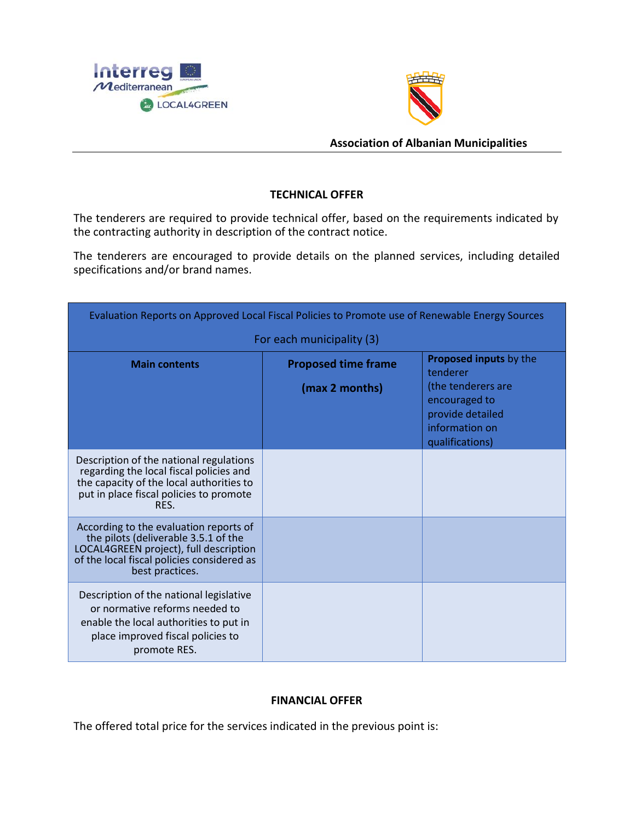



# **TECHNICAL OFFER**

The tenderers are required to provide technical offer, based on the requirements indicated by the contracting authority in description of the contract notice.

The tenderers are encouraged to provide details on the planned services, including detailed specifications and/or brand names.

| Evaluation Reports on Approved Local Fiscal Policies to Promote use of Renewable Energy Sources                                                                                           |                                              |                                                                                                                                           |  |
|-------------------------------------------------------------------------------------------------------------------------------------------------------------------------------------------|----------------------------------------------|-------------------------------------------------------------------------------------------------------------------------------------------|--|
| For each municipality (3)                                                                                                                                                                 |                                              |                                                                                                                                           |  |
| <b>Main contents</b>                                                                                                                                                                      | <b>Proposed time frame</b><br>(max 2 months) | <b>Proposed inputs by the</b><br>tenderer<br>(the tenderers are<br>encouraged to<br>provide detailed<br>information on<br>qualifications) |  |
| Description of the national regulations<br>regarding the local fiscal policies and<br>the capacity of the local authorities to<br>put in place fiscal policies to promote<br>RES.         |                                              |                                                                                                                                           |  |
| According to the evaluation reports of<br>the pilots (deliverable 3.5.1 of the<br>LOCAL4GREEN project), full description<br>of the local fiscal policies considered as<br>best practices. |                                              |                                                                                                                                           |  |
| Description of the national legislative<br>or normative reforms needed to<br>enable the local authorities to put in<br>place improved fiscal policies to<br>promote RES.                  |                                              |                                                                                                                                           |  |

## **FINANCIAL OFFER**

The offered total price for the services indicated in the previous point is: